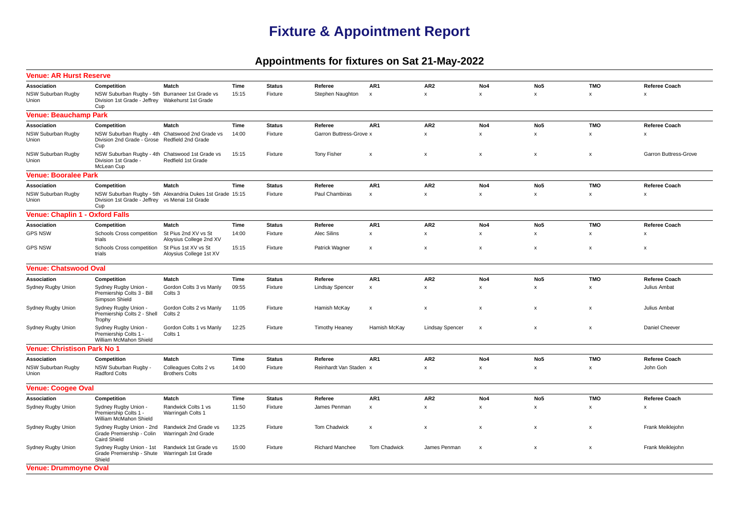## **Fixture & Appointment Report**

## **Appointments for fixtures on Sat 21-May-2022**

| <b>Venue: AR Hurst Reserve</b>  |                                                                                                            |                                                           |       |               |                         |                           |                        |                           |                           |              |                              |  |  |  |  |
|---------------------------------|------------------------------------------------------------------------------------------------------------|-----------------------------------------------------------|-------|---------------|-------------------------|---------------------------|------------------------|---------------------------|---------------------------|--------------|------------------------------|--|--|--|--|
| Association                     | Competition                                                                                                | Match                                                     | Time  | <b>Status</b> | Referee                 | AR <sub>1</sub>           | AR <sub>2</sub>        | No <sub>4</sub>           | No <sub>5</sub>           | <b>TMO</b>   | Referee Coach                |  |  |  |  |
| NSW Suburban Rugby<br>Union     | NSW Suburban Rugby - 5th Burraneer 1st Grade vs<br>Division 1st Grade - Jeffrey Wakehurst 1st Grade<br>Cup |                                                           | 15:15 | Fixture       | Stephen Naughton        | $\boldsymbol{\mathsf{x}}$ | $\mathsf{x}$           | $\mathsf{x}$              | $\boldsymbol{\mathsf{x}}$ | $\mathsf{x}$ | $\mathsf{x}$                 |  |  |  |  |
| <b>Venue: Beauchamp Park</b>    |                                                                                                            |                                                           |       |               |                         |                           |                        |                           |                           |              |                              |  |  |  |  |
| Association                     | Competition                                                                                                | Match                                                     | Time  | <b>Status</b> | Referee                 | AR <sub>1</sub>           | AR <sub>2</sub>        | No <sub>4</sub>           | No <sub>5</sub>           | <b>TMO</b>   | <b>Referee Coach</b>         |  |  |  |  |
| NSW Suburban Rugby<br>Union     | NSW Suburban Rugby - 4th Chatswood 2nd Grade vs<br>Division 2nd Grade - Grose Redfield 2nd Grade<br>Cup    |                                                           | 14:00 | Fixture       | Garron Buttress-Grove x |                           | $\mathsf{x}$           | x                         | x                         | x            | $\boldsymbol{\mathsf{x}}$    |  |  |  |  |
| NSW Suburban Rugby<br>Union     | NSW Suburban Rugby - 4th Chatswood 1st Grade vs<br>Division 1st Grade<br>McLean Cup                        | Redfield 1st Grade                                        | 15:15 | Fixture       | <b>Tony Fisher</b>      | $\boldsymbol{\mathsf{x}}$ | $\mathsf{x}$           | $\pmb{\mathsf{x}}$        | $\mathsf{x}$              | $\mathbf x$  | <b>Garron Buttress-Grove</b> |  |  |  |  |
|                                 | <b>Venue: Booralee Park</b>                                                                                |                                                           |       |               |                         |                           |                        |                           |                           |              |                              |  |  |  |  |
| Association                     | Competition                                                                                                | Match                                                     | Time  | <b>Status</b> | Referee                 | AR1                       | AR <sub>2</sub>        | No <sub>4</sub>           | No <sub>5</sub>           | <b>TMO</b>   | <b>Referee Coach</b>         |  |  |  |  |
| NSW Suburban Rugby<br>Union     | Division 1st Grade - Jeffrey vs Menai 1st Grade<br>Cup                                                     | NSW Suburban Rugby - 5th Alexandria Dukes 1st Grade 15:15 |       | Fixture       | Paul Chambiras          | $\boldsymbol{\mathsf{x}}$ | $\mathsf{x}$           | X                         | x                         | x            | $\boldsymbol{\mathsf{x}}$    |  |  |  |  |
| Venue: Chaplin 1 - Oxford Falls |                                                                                                            |                                                           |       |               |                         |                           |                        |                           |                           |              |                              |  |  |  |  |
| Association                     | Competition                                                                                                | Match                                                     | Time  | <b>Status</b> | Referee                 | AR1                       | AR <sub>2</sub>        | No4                       | No <sub>5</sub>           | <b>TMO</b>   | Referee Coach                |  |  |  |  |
| <b>GPS NSW</b>                  | Schools Cross competition<br>trials                                                                        | St Pius 2nd XV vs St<br>Aloysius College 2nd XV           | 14:00 | Fixture       | <b>Alec Silins</b>      | $\pmb{\mathsf{x}}$        | $\mathsf{x}$           | $\mathsf{x}$              | $\mathsf{x}$              | $\mathsf{x}$ | X                            |  |  |  |  |
| <b>GPS NSW</b>                  | Schools Cross competition<br>trials                                                                        | St Pius 1st XV vs St<br>Aloysius College 1st XV           | 15:15 | Fixture       | Patrick Wagner          | $\boldsymbol{\mathsf{x}}$ | $\pmb{\times}$         | $\pmb{\mathsf{x}}$        | $\pmb{\times}$            | X            | $\boldsymbol{\mathsf{x}}$    |  |  |  |  |
| <b>Venue: Chatswood Oval</b>    |                                                                                                            |                                                           |       |               |                         |                           |                        |                           |                           |              |                              |  |  |  |  |
| Association                     | Competition                                                                                                | Match                                                     | Time  | <b>Status</b> | Referee                 | AR1                       | AR <sub>2</sub>        | No4                       | No <sub>5</sub>           | <b>TMO</b>   | Referee Coach                |  |  |  |  |
| Sydney Rugby Union              | Sydney Rugby Union -<br>Premiership Colts 3 - Bill<br>Simpson Shield                                       | Gordon Colts 3 vs Manly<br>Colts <sub>3</sub>             | 09:55 | Fixture       | <b>Lindsay Spencer</b>  | $\boldsymbol{\mathsf{x}}$ | $\mathsf{x}$           | $\mathsf{x}$              | $\mathsf{x}$              | x            | Julius Ambat                 |  |  |  |  |
| Sydney Rugby Union              | Sydney Rugby Union -<br>Premiership Colts 2 - Shell<br>Trophy                                              | Gordon Colts 2 vs Manly<br>Colts 2                        | 11:05 | Fixture       | Hamish McKay            | $\pmb{\mathsf{x}}$        | $\pmb{\mathsf{x}}$     | $\pmb{\mathsf{x}}$        | $\pmb{\times}$            | x            | Julius Ambat                 |  |  |  |  |
| Sydney Rugby Union              | Sydney Rugby Union -<br>Premiership Colts 1 -<br>William McMahon Shield                                    | Gordon Colts 1 vs Manly<br>Colts 1                        | 12:25 | Fixture       | <b>Timothy Heaney</b>   | Hamish McKay              | <b>Lindsay Spencer</b> | $\boldsymbol{\mathsf{x}}$ | $\boldsymbol{\mathsf{x}}$ | X            | Daniel Cheever               |  |  |  |  |
| Venue: Christison Park No 1     |                                                                                                            |                                                           |       |               |                         |                           |                        |                           |                           |              |                              |  |  |  |  |
| Association                     | Competition                                                                                                | Match                                                     | Time  | <b>Status</b> | Referee                 | AR1                       | AR <sub>2</sub>        | No4                       | No <sub>5</sub>           | <b>TMO</b>   | <b>Referee Coach</b>         |  |  |  |  |
| NSW Suburban Rugby<br>Union     | NSW Suburban Rugby -<br><b>Radford Colts</b>                                                               | Colleagues Colts 2 vs<br><b>Brothers Colts</b>            | 14:00 | Fixture       | Reinhardt Van Staden x  |                           | $\mathsf x$            | $\pmb{\mathsf{x}}$        | $\pmb{\mathsf{x}}$        | $\mathsf X$  | John Goh                     |  |  |  |  |
| <b>Venue: Coogee Oval</b>       |                                                                                                            |                                                           |       |               |                         |                           |                        |                           |                           |              |                              |  |  |  |  |
| Association                     | Competition                                                                                                | Match                                                     | Time  | <b>Status</b> | Referee                 | AR1                       | AR <sub>2</sub>        | No4                       | No <sub>5</sub>           | <b>TMO</b>   | Referee Coach                |  |  |  |  |
| Sydney Rugby Union              | Sydney Rugby Union -<br>Premiership Colts 1 -<br>William McMahon Shield                                    | Randwick Colts 1 vs<br>Warringah Colts 1                  | 11:50 | Fixture       | James Penman            | $\pmb{\mathsf{x}}$        | $\mathbf{x}$           | X                         | X                         | x            | X                            |  |  |  |  |
| Sydney Rugby Union              | Sydney Rugby Union - 2nd<br>Grade Premiership - Colin<br><b>Caird Shield</b>                               | Randwick 2nd Grade vs<br>Warringah 2nd Grade              | 13:25 | Fixture       | Tom Chadwick            | $\boldsymbol{\mathsf{x}}$ | $\pmb{\times}$         | $\pmb{\mathsf{x}}$        | X                         | $\mathsf{x}$ | Frank Meiklejohn             |  |  |  |  |
| Sydney Rugby Union              | Sydney Rugby Union - 1st<br>Grade Premiership - Shute<br>Shield                                            | Randwick 1st Grade vs<br>Warringah 1st Grade              | 15:00 | Fixture       | <b>Richard Manchee</b>  | <b>Tom Chadwick</b>       | James Penman           | $\boldsymbol{\mathsf{x}}$ | X                         | X            | Frank Meiklejohn             |  |  |  |  |
| <b>Venue: Drummoyne Oval</b>    |                                                                                                            |                                                           |       |               |                         |                           |                        |                           |                           |              |                              |  |  |  |  |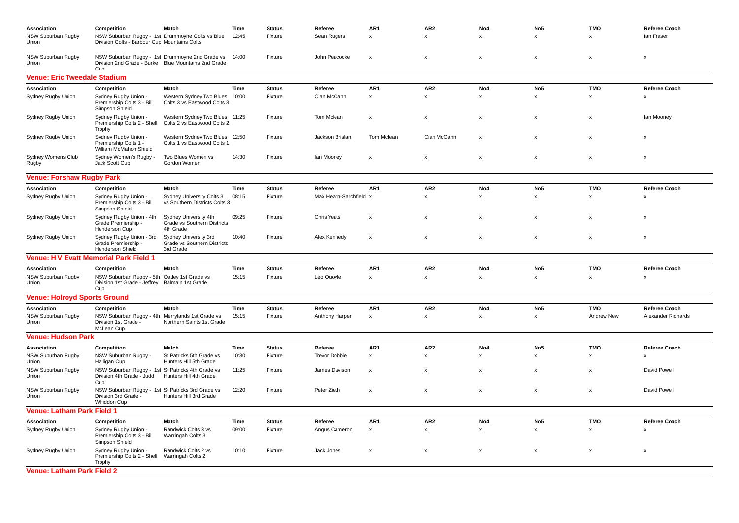| Association<br>NSW Suburban Rugby<br>Union | Competition<br>Division Colts - Barbour Cup Mountains Colts                                           | Match<br>NSW Suburban Rugby - 1st Drummoyne Colts vs Blue                                              | Time<br>12:45 | <b>Status</b><br>Fixture | Referee<br>Sean Rugers          | AR1<br>$\pmb{\mathsf{x}}$             | AR <sub>2</sub><br>$\pmb{\mathsf{x}}$ | No4<br>$\mathsf{x}$                   | No <sub>5</sub><br>$\mathsf{x}$       | <b>TMO</b><br>$\pmb{\mathsf{x}}$ | <b>Referee Coach</b><br>lan Fraser   |
|--------------------------------------------|-------------------------------------------------------------------------------------------------------|--------------------------------------------------------------------------------------------------------|---------------|--------------------------|---------------------------------|---------------------------------------|---------------------------------------|---------------------------------------|---------------------------------------|----------------------------------|--------------------------------------|
| NSW Suburban Rugby<br>Union                | Cup                                                                                                   | NSW Suburban Rugby - 1st Drummoyne 2nd Grade vs<br>Division 2nd Grade - Burke Blue Mountains 2nd Grade | 14:00         | Fixture                  | John Peacocke                   | $\boldsymbol{\mathsf{x}}$             | $\pmb{\times}$                        | $\pmb{\times}$                        | $\boldsymbol{\mathsf{x}}$             | $\pmb{\times}$                   | X                                    |
| <b>Venue: Eric Tweedale Stadium</b>        |                                                                                                       |                                                                                                        |               |                          |                                 |                                       |                                       |                                       |                                       |                                  |                                      |
| Association                                | Competition                                                                                           | Match                                                                                                  | Time          | <b>Status</b>            | Referee                         | AR1                                   | AR <sub>2</sub>                       | No4                                   | No <sub>5</sub>                       | <b>TMO</b>                       | <b>Referee Coach</b>                 |
| Sydney Rugby Union                         | Sydney Rugby Union -<br>Premiership Colts 3 - Bill<br>Simpson Shield                                  | Western Sydney Two Blues<br>Colts 3 vs Eastwood Colts 3                                                | 10:00         | Fixture                  | Cian McCann                     | $\pmb{\mathsf{x}}$                    | $\mathsf x$                           | $\pmb{\times}$                        | $\mathsf X$                           | $\pmb{\mathsf{x}}$               | X                                    |
| Sydney Rugby Union                         | Sydney Rugby Union -<br>Premiership Colts 2 - Shell<br>Trophy                                         | Western Sydney Two Blues 11:25<br>Colts 2 vs Eastwood Colts 2                                          |               | Fixture                  | Tom Mclean                      | $\boldsymbol{\mathsf{x}}$             | $\mathsf{x}$                          | $\mathsf{x}$                          | $\boldsymbol{\mathsf{x}}$             | $\mathsf{x}$                     | lan Mooney                           |
| Sydney Rugby Union                         | Sydney Rugby Union -<br>Premiership Colts 1 -<br>William McMahon Shield                               | Western Sydney Two Blues<br>Colts 1 vs Eastwood Colts 1                                                | 12:50         | Fixture                  | Jackson Brislan                 | Tom Mclean                            | Cian McCann                           | $\pmb{\mathsf{x}}$                    | $\mathsf X$                           | $\mathsf{x}$                     | x                                    |
| Sydney Womens Club<br>Rugby                | Sydney Women's Rugby -<br>Jack Scott Cup                                                              | Two Blues Women vs<br>Gordon Women                                                                     | 14:30         | Fixture                  | lan Mooney                      | $\boldsymbol{\mathsf{x}}$             | X                                     | X                                     | $\boldsymbol{\mathsf{x}}$             | X                                | X                                    |
| <b>Venue: Forshaw Rugby Park</b>           |                                                                                                       |                                                                                                        |               |                          |                                 |                                       |                                       |                                       |                                       |                                  |                                      |
| Association                                | Competition                                                                                           | <b>Match</b>                                                                                           | Time          | <b>Status</b>            | Referee                         | AR1                                   | AR <sub>2</sub>                       | No4                                   | No <sub>5</sub>                       | <b>TMO</b>                       | <b>Referee Coach</b>                 |
| Sydney Rugby Union                         | Sydney Rugby Union -<br>Premiership Colts 3 - Bill<br>Simpson Shield                                  | Sydney University Colts 3<br>vs Southern Districts Colts 3                                             | 08:15         | Fixture                  | Max Hearn-Sarchfield            | $\mathbf{x}$                          | $\mathsf{x}$                          | $\mathsf{x}$                          | x                                     | X                                | X                                    |
| Sydney Rugby Union                         | Sydney Rugby Union - 4th<br>Grade Premiership -<br>Henderson Cup                                      | Sydney University 4th<br><b>Grade vs Southern Districts</b><br>4th Grade                               | 09:25         | Fixture                  | <b>Chris Yeats</b>              | $\boldsymbol{\mathsf{x}}$             | $\mathsf{x}$                          | $\mathsf{x}$                          | $\boldsymbol{\mathsf{x}}$             | $\boldsymbol{\mathsf{x}}$        | $\mathsf{x}$                         |
| Sydney Rugby Union                         | Sydney Rugby Union - 3rd<br>Grade Premiership -<br>Henderson Shield                                   | Sydney University 3rd<br><b>Grade vs Southern Districts</b><br>3rd Grade                               | 10:40         | Fixture                  | Alex Kennedy                    | $\boldsymbol{\mathsf{x}}$             | $\mathsf{x}$                          | $\pmb{\mathsf{x}}$                    | $\boldsymbol{\mathsf{x}}$             | $\pmb{\times}$                   | x                                    |
|                                            | <b>Venue: H V Evatt Memorial Park Field 1</b>                                                         |                                                                                                        |               |                          |                                 |                                       |                                       |                                       |                                       |                                  |                                      |
| Association                                | Competition                                                                                           | Match                                                                                                  | Time          | <b>Status</b>            | Referee                         | AR1                                   | AR <sub>2</sub>                       | No <sub>4</sub>                       | No <sub>5</sub>                       | <b>TMO</b>                       | <b>Referee Coach</b>                 |
| NSW Suburban Rugby<br>Union                | NSW Suburban Rugby - 5th Oatley 1st Grade vs<br>Division 1st Grade - Jeffrey Balmain 1st Grade<br>Cup |                                                                                                        | 15:15         | Fixture                  | Leo Quoyle                      | $\pmb{\mathsf{x}}$                    | $\mathsf x$                           | $\mathsf{x}$                          | $\mathsf x$                           | $\pmb{\mathsf{x}}$               | x                                    |
| <b>Venue: Holroyd Sports Ground</b>        |                                                                                                       |                                                                                                        |               |                          |                                 |                                       |                                       |                                       |                                       |                                  |                                      |
| Association                                | Competition                                                                                           | <b>Match</b>                                                                                           | Time          | <b>Status</b>            | Referee                         | AR1                                   | AR <sub>2</sub>                       | No <sub>4</sub>                       | No <sub>5</sub>                       | <b>TMO</b>                       | <b>Referee Coach</b>                 |
| NSW Suburban Rugby<br>Union                | NSW Suburban Rugby - 4th Merrylands 1st Grade vs<br>Division 1st Grade -<br>McLean Cup                | Northern Saints 1st Grade                                                                              | 15:15         | Fixture                  | Anthony Harper                  | $\boldsymbol{\mathsf{x}}$             | $\mathsf{x}$                          | $\pmb{\mathsf{x}}$                    | $\mathsf x$                           | <b>Andrew New</b>                | Alexander Richards                   |
| <b>Venue: Hudson Park</b>                  |                                                                                                       |                                                                                                        |               |                          |                                 |                                       |                                       |                                       |                                       |                                  |                                      |
| Association<br>NSW Suburban Rugby<br>Union | Competition<br>NSW Suburban Rugby -<br>Halligan Cup                                                   | Match<br>St Patricks 5th Grade vs<br>Hunters Hill 5th Grade                                            | Time<br>10:30 | <b>Status</b><br>Fixture | Referee<br><b>Trevor Dobbie</b> | AR <sub>1</sub><br>$\pmb{\mathsf{x}}$ | AR <sub>2</sub><br>$\pmb{\mathsf{x}}$ | No <sub>4</sub><br>$\pmb{\mathsf{x}}$ | No <sub>5</sub><br>$\pmb{\mathsf{x}}$ | <b>TMO</b><br>$\pmb{\mathsf{x}}$ | <b>Referee Coach</b><br>$\mathsf{x}$ |
| NSW Suburban Rugby<br>Union                | NSW Suburban Rugby - 1st St Patricks 4th Grade vs<br>Division 4th Grade - Judd<br>Cup                 | Hunters Hill 4th Grade                                                                                 | 11:25         | Fixture                  | James Davison                   | $\boldsymbol{\mathsf{x}}$             | $\mathsf{x}$                          | $\mathsf{x}$                          | $\mathsf{x}$                          | $\boldsymbol{\mathsf{x}}$        | David Powell                         |
| NSW Suburban Rugby<br>Union                | NSW Suburban Rugby - 1st St Patricks 3rd Grade vs<br>Division 3rd Grade -<br>Whiddon Cup              | Hunters Hill 3rd Grade                                                                                 | 12:20         | Fixture                  | Peter Zieth                     | $\boldsymbol{\mathsf{x}}$             | $\mathsf{x}$                          | $\mathsf{x}$                          | $\boldsymbol{\mathsf{x}}$             | $\pmb{\times}$                   | David Powell                         |
| <b>Venue: Latham Park Field 1</b>          |                                                                                                       |                                                                                                        |               |                          |                                 |                                       |                                       |                                       |                                       |                                  |                                      |
| Association                                | Competition                                                                                           | Match                                                                                                  | Time          | <b>Status</b>            | Referee                         | AR1                                   | AR <sub>2</sub>                       | No4                                   | No <sub>5</sub>                       | <b>TMO</b>                       | <b>Referee Coach</b>                 |
| Sydney Rugby Union                         | Sydney Rugby Union -<br>Premiership Colts 3 - Bill<br>Simpson Shield                                  | Randwick Colts 3 vs<br>Warringah Colts 3                                                               | 09:00         | Fixture                  | Angus Cameron                   | $\pmb{\mathsf{x}}$                    | $\pmb{\mathsf{x}}$                    | $\mathsf{x}$                          | $\pmb{\mathsf{x}}$                    | $\pmb{\mathsf{x}}$               | $\boldsymbol{\mathsf{x}}$            |
| Sydney Rugby Union                         | Sydney Rugby Union -<br>Premiership Colts 2 - Shell<br>Trophy                                         | Randwick Colts 2 vs<br>Warringah Colts 2                                                               | 10:10         | Fixture                  | Jack Jones                      | $\boldsymbol{\mathsf{x}}$             | X                                     | X                                     | x                                     | x                                | X                                    |
| <b>Venue: Latham Park Field 2</b>          |                                                                                                       |                                                                                                        |               |                          |                                 |                                       |                                       |                                       |                                       |                                  |                                      |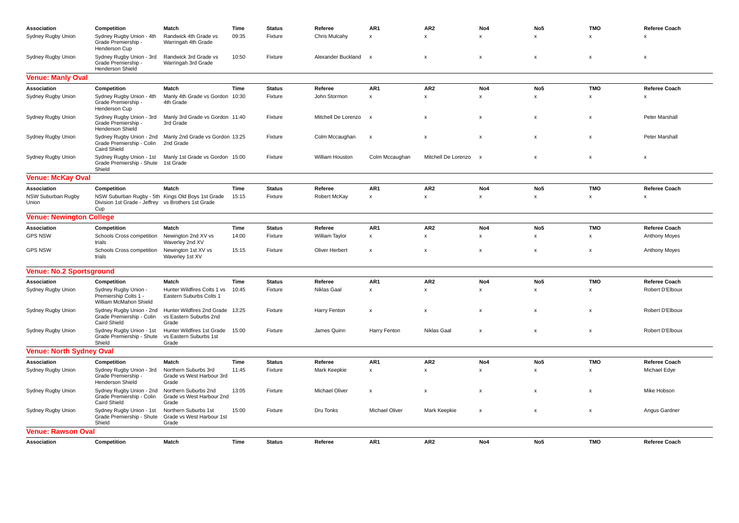| Association                     | Competition                                                                | Match                                                                 | Time  | <b>Status</b> | Referee                | AR1                       | AR <sub>2</sub>           | No <sub>4</sub>           | No <sub>5</sub>           | <b>TMO</b>   | <b>Referee Coach</b>      |
|---------------------------------|----------------------------------------------------------------------------|-----------------------------------------------------------------------|-------|---------------|------------------------|---------------------------|---------------------------|---------------------------|---------------------------|--------------|---------------------------|
| Sydney Rugby Union              | Sydney Rugby Union - 4th<br>Grade Premiership -<br>Henderson Cup           | Randwick 4th Grade vs<br>Warringah 4th Grade                          | 09:35 | Fixture       | Chris Mulcahy          | $\boldsymbol{\mathsf{x}}$ | $\mathsf{x}$              | x                         | $\mathsf{x}$              | $\mathsf{x}$ | $\boldsymbol{\mathsf{x}}$ |
| Sydney Rugby Union              | Sydney Rugby Union - 3rd<br>Grade Premiership -<br>Henderson Shield        | Randwick 3rd Grade vs<br>Warringah 3rd Grade                          | 10:50 | Fixture       | Alexander Buckland     | $\mathsf{x}$              | $\pmb{\times}$            | $\boldsymbol{\mathsf{x}}$ | x                         | X            | x                         |
| <b>Venue: Manly Oval</b>        |                                                                            |                                                                       |       |               |                        |                           |                           |                           |                           |              |                           |
| Association                     | Competition                                                                | Match                                                                 | Time  | <b>Status</b> | Referee                | AR1                       | AR <sub>2</sub>           | No4                       | No <sub>5</sub>           | <b>TMO</b>   | <b>Referee Coach</b>      |
| Sydney Rugby Union              | Sydney Rugby Union - 4th<br>Grade Premiership -<br>Henderson Cup           | Manly 4th Grade vs Gordon 10:30<br>4th Grade                          |       | Fixture       | John Stormon           | $\times$                  | $\mathsf{x}$              | x                         | x                         | x            | $\boldsymbol{\mathsf{x}}$ |
| Sydney Rugby Union              | Sydney Rugby Union - 3rd<br>Grade Premiership -<br><b>Henderson Shield</b> | Manly 3rd Grade vs Gordon 11:40<br>3rd Grade                          |       | Fixture       | Mitchell De Lorenzo    | $\mathsf{x}$              | x                         | x                         | x                         | X            | Peter Marshall            |
| Sydney Rugby Union              | Grade Premiership - Colin<br><b>Caird Shield</b>                           | Sydney Rugby Union - 2nd Manly 2nd Grade vs Gordon 13:25<br>2nd Grade |       | Fixture       | Colm Mccaughan         | $\pmb{\chi}$              | $\mathsf{x}$              | $\boldsymbol{\mathsf{x}}$ | $\boldsymbol{\mathsf{x}}$ | $\mathsf{x}$ | Peter Marshall            |
| Sydney Rugby Union              | Sydney Rugby Union - 1st<br>Grade Premiership - Shute<br>Shield            | Manly 1st Grade vs Gordon 15:00<br>1st Grade                          |       | Fixture       | <b>William Houston</b> | Colm Mccaughan            | Mitchell De Lorenzo       | $\boldsymbol{\mathsf{x}}$ | X                         | x            | x                         |
| <b>Venue: McKay Oval</b>        |                                                                            |                                                                       |       |               |                        |                           |                           |                           |                           |              |                           |
| Association                     | Competition                                                                | Match                                                                 | Time  | <b>Status</b> | Referee                | AR1                       | AR <sub>2</sub>           | No4                       | No <sub>5</sub>           | <b>TMO</b>   | <b>Referee Coach</b>      |
| NSW Suburban Rugby<br>Union     | Division 1st Grade - Jeffrey vs Brothers 1st Grade<br>Cup                  | NSW Suburban Rugby - 5th Kings Old Boys 1st Grade                     | 15:15 | Fixture       | Robert McKay           | $\boldsymbol{\mathsf{x}}$ | X                         | X                         | X                         | X            | $\boldsymbol{\mathsf{x}}$ |
| <b>Venue: Newington College</b> |                                                                            |                                                                       |       |               |                        |                           |                           |                           |                           |              |                           |
| Association                     | Competition                                                                | Match                                                                 | Time  | <b>Status</b> | Referee                | AR1                       | AR <sub>2</sub>           | No4                       | No <sub>5</sub>           | <b>TMO</b>   | <b>Referee Coach</b>      |
| <b>GPS NSW</b>                  | Schools Cross competition<br>trials                                        | Newington 2nd XV vs<br>Waverley 2nd XV                                | 14:00 | Fixture       | William Taylor         | x                         | $\mathsf{x}$              | $\pmb{\mathsf{x}}$        | $\mathsf{x}$              | x            | <b>Anthony Moyes</b>      |
| <b>GPS NSW</b>                  | Schools Cross competition<br>trials                                        | Newington 1st XV vs<br>Waverley 1st XV                                | 15:15 | Fixture       | Oliver Herbert         | $\boldsymbol{\mathsf{x}}$ | $\boldsymbol{\mathsf{x}}$ | X                         | $\boldsymbol{\mathsf{x}}$ | X            | <b>Anthony Moyes</b>      |
| <b>Venue: No.2 Sportsground</b> |                                                                            |                                                                       |       |               |                        |                           |                           |                           |                           |              |                           |
| Association                     | Competition                                                                | Match                                                                 | Time  | <b>Status</b> | Referee                | AR1                       | AR <sub>2</sub>           | No4                       | No <sub>5</sub>           | <b>TMO</b>   | <b>Referee Coach</b>      |
| Sydney Rugby Union              | Sydney Rugby Union -<br>Premiership Colts 1 -<br>William McMahon Shield    | Hunter Wildfires Colts 1 vs<br>Eastern Suburbs Colts 1                | 10:45 | Fixture       | Niklas Gaal            | x                         | $\mathsf{x}$              | x                         | x                         | x            | Robert D'Elboux           |
| Sydney Rugby Union              | Sydney Rugby Union - 2nd<br>Grade Premiership - Colin<br>Caird Shield      | Hunter Wildfires 2nd Grade<br>vs Eastern Suburbs 2nd<br>Grade         | 13:25 | Fixture       | Harry Fenton           | x                         | X                         | x                         | x                         | x            | Robert D'Elboux           |
| Sydney Rugby Union              | Sydney Rugby Union - 1st<br>Grade Premiership - Shute<br>Shield            | Hunter Wildfires 1st Grade<br>vs Eastern Suburbs 1st<br>Grade         | 15:00 | Fixture       | James Quinn            | Harry Fenton              | Niklas Gaal               | x                         | X                         | X            | Robert D'Elboux           |
| <b>Venue: North Sydney Oval</b> |                                                                            |                                                                       |       |               |                        |                           |                           |                           |                           |              |                           |
| Association                     | Competition                                                                | Match                                                                 | Time  | <b>Status</b> | Referee                | AR1                       | AR <sub>2</sub>           | No <sub>4</sub>           | No <sub>5</sub>           | <b>TMO</b>   | Referee Coach             |
| Sydney Rugby Union              | Sydney Rugby Union - 3rd<br>Grade Premiership -<br>Henderson Shield        | Northern Suburbs 3rd<br>Grade vs West Harbour 3rd<br>Grade            | 11:45 | Fixture       | Mark Keepkie           | x                         | $\mathsf{x}$              | $\pmb{\times}$            | x                         | x            | Michael Edye              |
| Sydney Rugby Union              | Sydney Rugby Union - 2nd<br>Grade Premiership - Colin<br>Caird Shield      | Northern Suburbs 2nd<br>Grade vs West Harbour 2nd<br>Grade            | 13:05 | Fixture       | Michael Oliver         | $\pmb{\times}$            | $\pmb{\mathsf{x}}$        | $\pmb{\mathsf{x}}$        | $\pmb{\times}$            | x            | Mike Hobson               |
| Sydney Rugby Union              | Sydney Rugby Union - 1st<br>Grade Premiership - Shute<br>Shield            | Northern Suburbs 1st<br>Grade vs West Harbour 1st<br>Grade            | 15:00 | Fixture       | Dru Tonks              | <b>Michael Oliver</b>     | Mark Keepkie              | $\boldsymbol{\mathsf{x}}$ | x                         | x            | Angus Gardner             |
| Venue: Rawson Oval              |                                                                            |                                                                       |       |               |                        |                           |                           |                           |                           |              |                           |
| Association                     | Competition                                                                | Match                                                                 | Time  | <b>Status</b> | Referee                | AR1                       | AR <sub>2</sub>           | No4                       | No <sub>5</sub>           | <b>TMO</b>   | <b>Referee Coach</b>      |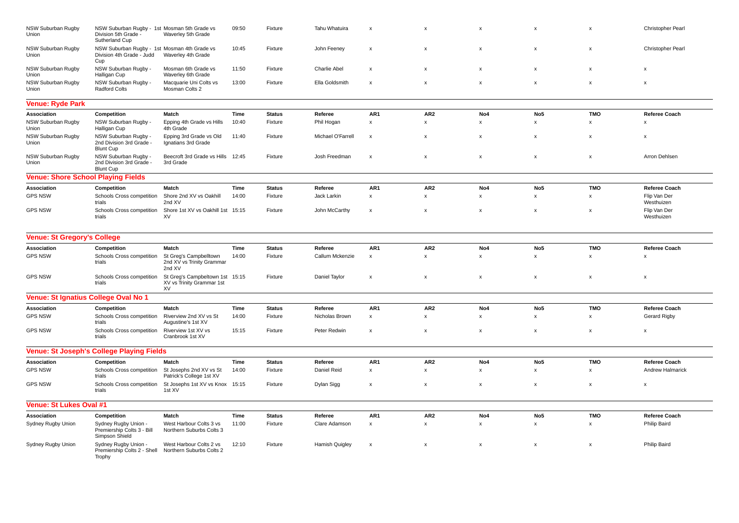| NSW Suburban Rugby<br>Union                                   | NSW Suburban Rugby - 1st Mosman 5th Grade vs<br>Division 5th Grade<br>Sutherland Cup | Waverley 5th Grade                                                 | 09:50 | Fixture       | Tahu Whatuira         | $\boldsymbol{\mathsf{x}}$ | $\boldsymbol{\mathsf{x}}$ | X                         | x                         | X                         | Christopher Pearl          |  |  |
|---------------------------------------------------------------|--------------------------------------------------------------------------------------|--------------------------------------------------------------------|-------|---------------|-----------------------|---------------------------|---------------------------|---------------------------|---------------------------|---------------------------|----------------------------|--|--|
| NSW Suburban Rugby<br>Union                                   | NSW Suburban Rugby - 1st Mosman 4th Grade vs<br>Division 4th Grade - Judd<br>Cup     | Waverley 4th Grade                                                 | 10:45 | Fixture       | John Feeney           | $\boldsymbol{\mathsf{x}}$ | $\boldsymbol{\mathsf{x}}$ | x                         | x                         | X                         | Christopher Pearl          |  |  |
| NSW Suburban Rugby<br>Union                                   | NSW Suburban Rugby -<br>Halligan Cup                                                 | Mosman 6th Grade vs<br>Waverley 6th Grade                          | 11:50 | Fixture       | Charlie Abel          | $\boldsymbol{\mathsf{x}}$ | $\boldsymbol{\mathsf{x}}$ | X                         | x                         | x                         | x                          |  |  |
| NSW Suburban Rugby<br>Union                                   | NSW Suburban Rugby -<br>Radford Colts                                                | Macquarie Uni Colts vs<br>Mosman Colts 2                           | 13:00 | Fixture       | Ella Goldsmith        | $\boldsymbol{\mathsf{x}}$ | $\boldsymbol{\mathsf{x}}$ | $\pmb{\times}$            | x                         | $\pmb{\times}$            | X                          |  |  |
| <b>Venue: Ryde Park</b>                                       |                                                                                      |                                                                    |       |               |                       |                           |                           |                           |                           |                           |                            |  |  |
| Association                                                   | Competition                                                                          | Match                                                              | Time  | <b>Status</b> | Referee               | AR1                       | AR <sub>2</sub>           | No4                       | No <sub>5</sub>           | <b>TMO</b>                | Referee Coach              |  |  |
| <b>NSW Suburban Rugby</b><br>Union                            | NSW Suburban Rugby -<br>Halligan Cup                                                 | Epping 4th Grade vs Hills<br>4th Grade                             | 10:40 | Fixture       | Phil Hogan            | $\pmb{\mathsf{x}}$        | $\pmb{\mathsf{x}}$        | $\mathsf{x}$              | x                         | x                         | $\boldsymbol{\mathsf{x}}$  |  |  |
| NSW Suburban Rugby<br>Union                                   | NSW Suburban Rugby -<br>2nd Division 3rd Grade -<br><b>Blunt Cup</b>                 | Epping 3rd Grade vs Old<br>Ignatians 3rd Grade                     | 11:40 | Fixture       | Michael O'Farrell     | $\boldsymbol{\mathsf{x}}$ | $\boldsymbol{\mathsf{x}}$ | $\mathsf{x}$              | x                         | $\pmb{\times}$            | X                          |  |  |
| NSW Suburban Rugby<br>Union                                   | NSW Suburban Rugby -<br>2nd Division 3rd Grade -                                     | Beecroft 3rd Grade vs Hills<br>3rd Grade                           | 12:45 | Fixture       | Josh Freedman         | $\boldsymbol{\mathsf{x}}$ | $\boldsymbol{\mathsf{x}}$ | X                         | $\boldsymbol{\mathsf{x}}$ | $\boldsymbol{\mathsf{x}}$ | Arron Dehlsen              |  |  |
| <b>Blunt Cup</b><br><b>Venue: Shore School Playing Fields</b> |                                                                                      |                                                                    |       |               |                       |                           |                           |                           |                           |                           |                            |  |  |
| Association                                                   | Competition                                                                          | Match                                                              | Time  | <b>Status</b> | Referee               | AR1                       | AR <sub>2</sub>           | No4                       | No <sub>5</sub>           | <b>TMO</b>                | Referee Coach              |  |  |
| <b>GPS NSW</b>                                                | Schools Cross competition<br>trials                                                  | Shore 2nd XV vs Oakhill<br>2nd XV                                  | 14:00 | Fixture       | Jack Larkin           | $\pmb{\chi}$              | $\boldsymbol{\mathsf{x}}$ | $\mathsf{x}$              | x                         | x                         | Flip Van Der<br>Westhuizen |  |  |
| <b>GPS NSW</b>                                                | Schools Cross competition<br>trials                                                  | Shore 1st XV vs Oakhill 1st<br>XV                                  | 15:15 | Fixture       | John McCarthy         | $\boldsymbol{\mathsf{x}}$ | $\boldsymbol{\mathsf{x}}$ | X                         | x                         | x                         | Flip Van Der<br>Westhuizen |  |  |
| <b>Venue: St Gregory's College</b>                            |                                                                                      |                                                                    |       |               |                       |                           |                           |                           |                           |                           |                            |  |  |
| Association                                                   | Competition                                                                          | Match                                                              | Time  | <b>Status</b> | Referee               | AR1                       | AR <sub>2</sub>           | No4                       | No <sub>5</sub>           | <b>TMO</b>                | <b>Referee Coach</b>       |  |  |
| <b>GPS NSW</b>                                                | Schools Cross competition<br>trials                                                  | St Greg's Campbelltown<br>2nd XV vs Trinity Grammar<br>2nd XV      | 14:00 | Fixture       | Callum Mckenzie       | $\boldsymbol{\mathsf{x}}$ | $\boldsymbol{\mathsf{x}}$ | $\mathsf{x}$              | x                         | $\boldsymbol{\mathsf{x}}$ | $\boldsymbol{\mathsf{x}}$  |  |  |
| <b>GPS NSW</b>                                                | Schools Cross competition<br>trials                                                  | St Greg's Campbeltown 1st 15:15<br>XV vs Trinity Grammar 1st<br>XV |       | Fixture       | Daniel Taylor         | $\boldsymbol{\mathsf{x}}$ | $\boldsymbol{\mathsf{x}}$ | X                         | x                         | $\boldsymbol{\mathsf{x}}$ | $\boldsymbol{\mathsf{x}}$  |  |  |
| Venue: St Ignatius College Oval No 1                          |                                                                                      |                                                                    |       |               |                       |                           |                           |                           |                           |                           |                            |  |  |
| Association                                                   | Competition                                                                          | Match                                                              | Time  | <b>Status</b> | Referee               | AR1                       | AR <sub>2</sub>           | No4                       | No <sub>5</sub>           | <b>TMO</b>                | Referee Coach              |  |  |
| <b>GPS NSW</b>                                                | Schools Cross competition<br>trials                                                  | Riverview 2nd XV vs St<br>Augustine's 1st XV                       | 14:00 | Fixture       | Nicholas Brown        | $\pmb{\chi}$              | $\pmb{\mathsf{x}}$        | $\mathsf{x}$              | x                         | x                         | Gerard Rigby               |  |  |
| <b>GPS NSW</b>                                                | Schools Cross competition<br>trials                                                  | Riverview 1st XV vs<br>Cranbrook 1st XV                            | 15:15 | Fixture       | Peter Redwin          | $\boldsymbol{\mathsf{x}}$ | $\boldsymbol{\mathsf{x}}$ | X                         | $\boldsymbol{\mathsf{x}}$ | x                         | $\mathsf{x}$               |  |  |
|                                                               | <b>Venue: St Joseph's College Playing Fields</b>                                     |                                                                    |       |               |                       |                           |                           |                           |                           |                           |                            |  |  |
| Association                                                   | Competition                                                                          | Match                                                              | Time  | <b>Status</b> | Referee               | AR1                       | AR <sub>2</sub>           | No4                       | No <sub>5</sub>           | <b>TMO</b>                | <b>Referee Coach</b>       |  |  |
| <b>GPS NSW</b>                                                | Schools Cross competition<br>trials                                                  | St Josephs 2nd XV vs St<br>Patrick's College 1st XV                | 14:00 | Fixture       | Daniel Reid           | $\boldsymbol{\mathsf{x}}$ | $\boldsymbol{\mathsf{x}}$ | $\mathsf{x}$              | x                         | $\boldsymbol{\mathsf{x}}$ | Andrew Halmarick           |  |  |
| <b>GPS NSW</b>                                                | Schools Cross competition<br>trials                                                  | St Josephs 1st XV vs Knox<br>1st XV                                | 15:15 | Fixture       | Dylan Sigg            | $\boldsymbol{\mathsf{x}}$ | $\boldsymbol{\mathsf{x}}$ | X                         | $\mathsf{x}$              | $\boldsymbol{\mathsf{x}}$ | $\boldsymbol{\mathsf{x}}$  |  |  |
| Venue: St Lukes Oval #1                                       |                                                                                      |                                                                    |       |               |                       |                           |                           |                           |                           |                           |                            |  |  |
| Association                                                   | Competition                                                                          | Match                                                              | Time  | <b>Status</b> | Referee               | AR1                       | AR <sub>2</sub>           | No4                       | No <sub>5</sub>           | <b>TMO</b>                | <b>Referee Coach</b>       |  |  |
| Sydney Rugby Union                                            | Sydney Rugby Union -<br>Premiership Colts 3 - Bill<br>Simpson Shield                 | West Harbour Colts 3 vs<br>Northern Suburbs Colts 3                | 11:00 | Fixture       | Clare Adamson         | $\pmb{\chi}$              | $\boldsymbol{\mathsf{x}}$ | $\boldsymbol{\mathsf{x}}$ | x                         | x                         | Philip Baird               |  |  |
| Sydney Rugby Union                                            | Sydney Rugby Union -<br>Premiership Colts 2 - Shell<br>Trophy                        | West Harbour Colts 2 vs<br>Northern Suburbs Colts 2                | 12:10 | Fixture       | <b>Hamish Quigley</b> | $\boldsymbol{\mathsf{x}}$ | $\boldsymbol{\mathsf{x}}$ | X                         | x                         | $\boldsymbol{\mathsf{x}}$ | Philip Baird               |  |  |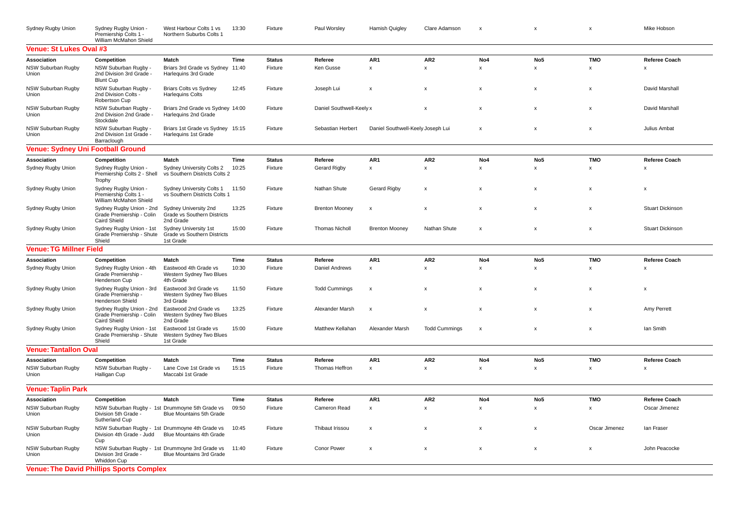| Sydney Rugby Union                       | Sydney Rugby Union -<br>Premiership Colts 1 -<br>William McMahon Shield      | West Harbour Colts 1 vs<br>Northern Suburbs Colts 1                         | 13:30 | Fixture       | Paul Worsley             | <b>Hamish Quigley</b>             | Clare Adamson             | $\mathbf{x}$              | $\mathsf{x}$              | $\boldsymbol{\mathsf{x}}$ | Mike Hobson               |  |  |
|------------------------------------------|------------------------------------------------------------------------------|-----------------------------------------------------------------------------|-------|---------------|--------------------------|-----------------------------------|---------------------------|---------------------------|---------------------------|---------------------------|---------------------------|--|--|
| <b>Venue: St Lukes Oval #3</b>           |                                                                              |                                                                             |       |               |                          |                                   |                           |                           |                           |                           |                           |  |  |
| Association                              | Competition                                                                  | Match                                                                       | Time  | <b>Status</b> | Referee                  | AR1                               | AR <sub>2</sub>           | No4                       | No <sub>5</sub>           | <b>TMO</b>                | Referee Coach             |  |  |
| NSW Suburban Rugby<br>Union              | NSW Suburban Rugby -<br>2nd Division 3rd Grade -<br><b>Blunt Cup</b>         | Briars 3rd Grade vs Sydney 11:40<br>Harlequins 3rd Grade                    |       | Fixture       | Ken Gusse                | $\boldsymbol{\mathsf{x}}$         | $\pmb{\mathsf{x}}$        | $\pmb{\times}$            | $\pmb{\mathsf{x}}$        | $\pmb{\times}$            | X                         |  |  |
| <b>NSW Suburban Rugby</b><br>Union       | NSW Suburban Rugby -<br>2nd Division Colts -<br>Robertson Cup                | <b>Briars Colts vs Sydney</b><br><b>Harlequins Colts</b>                    | 12:45 | Fixture       | Joseph Lui               | $\boldsymbol{\mathsf{x}}$         | $\boldsymbol{\mathsf{x}}$ | x                         | x                         | X                         | David Marshall            |  |  |
| NSW Suburban Rugby<br>Union              | NSW Suburban Rugby -<br>2nd Division 2nd Grade -<br>Stockdale                | Briars 2nd Grade vs Sydney 14:00<br>Harlequins 2nd Grade                    |       | Fixture       | Daniel Southwell-Keely x |                                   | $\boldsymbol{\mathsf{x}}$ | $\mathsf{x}$              | $\pmb{\times}$            | $\boldsymbol{\mathsf{x}}$ | David Marshall            |  |  |
| NSW Suburban Rugby<br><b>Union</b>       | NSW Suburban Rugby -<br>2nd Division 1st Grade -<br>Barraclough              | Briars 1st Grade vs Sydney 15:15<br>Harlequins 1st Grade                    |       | Fixture       | Sebastian Herbert        | Daniel Southwell-Keely Joseph Lui |                           | x                         | X                         | x                         | Julius Ambat              |  |  |
| <b>Venue: Sydney Uni Football Ground</b> |                                                                              |                                                                             |       |               |                          |                                   |                           |                           |                           |                           |                           |  |  |
| Association                              | Competition                                                                  | Match                                                                       | Time  | <b>Status</b> | Referee                  | AR <sub>1</sub>                   | AR <sub>2</sub>           | No4                       | No <sub>5</sub>           | <b>TMO</b>                | Referee Coach             |  |  |
| Sydney Rugby Union                       | Sydney Rugby Union -<br>Premiership Colts 2 - Shell<br>Trophy                | Sydney University Colts 2<br>vs Southern Districts Colts 2                  | 10:25 | Fixture       | Gerard Rigby             | $\pmb{\mathsf{x}}$                | $\pmb{\mathsf{x}}$        | $\mathsf{x}$              | $\boldsymbol{\mathsf{x}}$ | x                         | x                         |  |  |
| Sydney Rugby Union                       | Sydney Rugby Union -<br>Premiership Colts 1 -<br>William McMahon Shield      | Sydney University Colts 1<br>vs Southern Districts Colts 1                  | 11:50 | Fixture       | Nathan Shute             | <b>Gerard Rigby</b>               | $\boldsymbol{\mathsf{x}}$ | X                         | x                         | $\boldsymbol{\mathsf{x}}$ | $\boldsymbol{\mathsf{x}}$ |  |  |
| Sydney Rugby Union                       | Sydney Rugby Union - 2nd<br>Grade Premiership - Colin<br><b>Caird Shield</b> | Sydney University 2nd<br><b>Grade vs Southern Districts</b><br>2nd Grade    | 13:25 | Fixture       | <b>Brenton Mooney</b>    | $\boldsymbol{\mathsf{x}}$         | $\boldsymbol{\mathsf{x}}$ | $\mathsf{x}$              | x                         | $\mathsf{x}$              | <b>Stuart Dickinson</b>   |  |  |
| Sydney Rugby Union                       | Sydney Rugby Union - 1st<br>Grade Premiership - Shute<br>Shield              | Sydney University 1st<br>Grade vs Southern Districts<br>1st Grade           | 15:00 | Fixture       | <b>Thomas Nicholl</b>    | <b>Brenton Mooney</b>             | Nathan Shute              | $\boldsymbol{\mathsf{x}}$ | x                         | $\boldsymbol{\mathsf{x}}$ | <b>Stuart Dickinson</b>   |  |  |
| <b>Venue: TG Millner Field</b>           |                                                                              |                                                                             |       |               |                          |                                   |                           |                           |                           |                           |                           |  |  |
| Association                              | Competition                                                                  | Match                                                                       | Time  | <b>Status</b> | Referee                  | AR <sub>1</sub>                   | AR <sub>2</sub>           | No4                       | No <sub>5</sub>           | <b>TMO</b>                | <b>Referee Coach</b>      |  |  |
| Sydney Rugby Union                       | Sydney Rugby Union - 4th<br>Grade Premiership -<br>Henderson Cup             | Eastwood 4th Grade vs<br>Western Sydney Two Blues<br>4th Grade              | 10:30 | Fixture       | Daniel Andrews           | $\boldsymbol{\mathsf{x}}$         | $\pmb{\mathsf{x}}$        | $\pmb{\times}$            | x                         | $\pmb{\times}$            | X                         |  |  |
| Sydney Rugby Union                       | Sydney Rugby Union - 3rd<br>Grade Premiership<br>Henderson Shield            | Eastwood 3rd Grade vs<br>Western Sydney Two Blues<br>3rd Grade              | 11:50 | Fixture       | <b>Todd Cummings</b>     | $\boldsymbol{\mathsf{x}}$         | $\boldsymbol{\mathsf{x}}$ | $\mathsf{x}$              | $\pmb{\times}$            | X                         | X                         |  |  |
| Sydney Rugby Union                       | Sydney Rugby Union - 2nd<br>Grade Premiership - Colin<br><b>Caird Shield</b> | Eastwood 2nd Grade vs<br>Western Sydney Two Blues<br>2nd Grade              | 13:25 | Fixture       | Alexander Marsh          | $\boldsymbol{\mathsf{x}}$         | $\boldsymbol{\mathsf{x}}$ | $\mathsf{x}$              | $\boldsymbol{\mathsf{x}}$ | X                         | Amy Perrett               |  |  |
| Sydney Rugby Union                       | Sydney Rugby Union - 1st<br>Grade Premiership - Shute<br>Shield              | Eastwood 1st Grade vs<br>Western Sydney Two Blues<br>1st Grade              | 15:00 | Fixture       | Matthew Kellahan         | Alexander Marsh                   | <b>Todd Cummings</b>      | x                         | $\pmb{\times}$            | x                         | lan Smith                 |  |  |
| <b>Venue: Tantallon Oval</b>             |                                                                              |                                                                             |       |               |                          |                                   |                           |                           |                           |                           |                           |  |  |
| Association                              | Competition                                                                  | <b>Match</b>                                                                | Time  | <b>Status</b> | Referee                  | AR1                               | AR <sub>2</sub>           | No4                       | No <sub>5</sub>           | <b>TMO</b>                | <b>Referee Coach</b>      |  |  |
| NSW Suburban Rugby<br>Union              | NSW Suburban Rugby -<br>Halligan Cup                                         | Lane Cove 1st Grade vs<br>Maccabi 1st Grade                                 | 15:15 | Fixture       | Thomas Heffron           | $\boldsymbol{\mathsf{X}}$         | $\pmb{\mathsf{x}}$        | x                         | x                         | x                         | X                         |  |  |
| <b>Venue: Taplin Park</b>                |                                                                              |                                                                             |       |               |                          |                                   |                           |                           |                           |                           |                           |  |  |
| Association                              | Competition                                                                  | <b>Match</b>                                                                | Time  | <b>Status</b> | Referee                  | AR <sub>1</sub>                   | AR <sub>2</sub>           | No4                       | No <sub>5</sub>           | <b>TMO</b>                | <b>Referee Coach</b>      |  |  |
| NSW Suburban Rugby<br>Union              | Division 5th Grade -<br>Sutherland Cup                                       | NSW Suburban Rugby - 1st Drummoyne 5th Grade vs<br>Blue Mountains 5th Grade | 09:50 | Fixture       | Cameron Read             | $\boldsymbol{\mathsf{x}}$         | $\boldsymbol{\mathsf{x}}$ | $\mathsf{x}$              | $\mathsf{x}$              | X                         | Oscar Jimenez             |  |  |
| NSW Suburban Rugby<br>Union              | Division 4th Grade - Judd<br>Cup                                             | NSW Suburban Rugby - 1st Drummoyne 4th Grade vs<br>Blue Mountains 4th Grade | 10:45 | Fixture       | Thibaut Irissou          | $\boldsymbol{\mathsf{x}}$         | $\boldsymbol{\mathsf{x}}$ | X                         | $\mathsf{x}$              | Oscar Jimenez             | lan Fraser                |  |  |
| NSW Suburban Rugby<br>Union              | Division 3rd Grade<br>Whiddon Cup                                            | NSW Suburban Rugby - 1st Drummoyne 3rd Grade vs<br>Blue Mountains 3rd Grade | 11:40 | Fixture       | <b>Conor Power</b>       | $\boldsymbol{\mathsf{x}}$         | $\boldsymbol{\mathsf{x}}$ | X                         | $\boldsymbol{\mathsf{x}}$ | $\boldsymbol{\mathsf{x}}$ | John Peacocke             |  |  |
|                                          | <b>Venue: The David Phillips Sports Complex</b>                              |                                                                             |       |               |                          |                                   |                           |                           |                           |                           |                           |  |  |